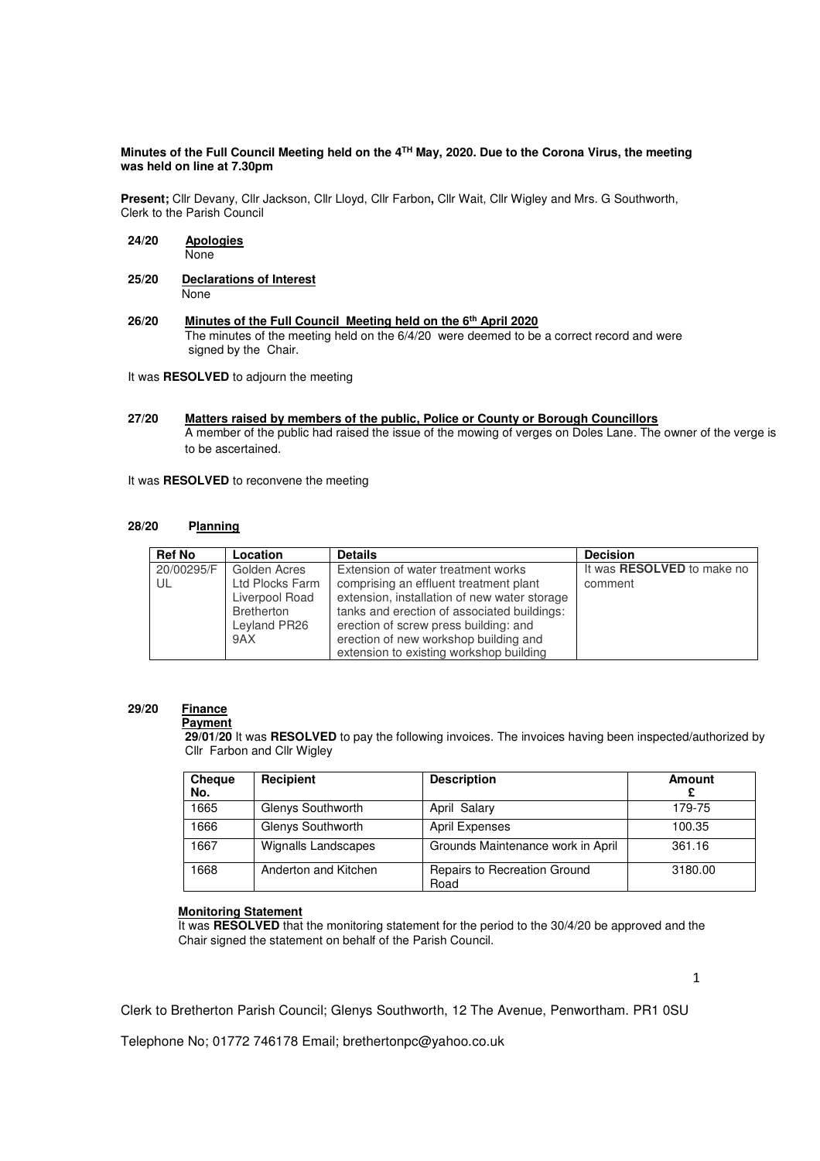#### **Minutes of the Full Council Meeting held on the 4TH May, 2020. Due to the Corona Virus, the meeting was held on line at 7.30pm**

**Present;** Cllr Devany, Cllr Jackson, Cllr Lloyd, Cllr Farbon**,** Cllr Wait, Cllr Wigley and Mrs. G Southworth, Clerk to the Parish Council

- **24/20 Apologies** None
- **25/20 Declarations of Interest None**
- **26/20 Minutes of the Full Council Meeting held on the 6th April 2020** The minutes of the meeting held on the 6/4/20 were deemed to be a correct record and were signed by the Chair.

It was **RESOLVED** to adjourn the meeting

**27/20 Matters raised by members of the public, Police or County or Borough Councillors**  A member of the public had raised the issue of the mowing of verges on Doles Lane. The owner of the verge is to be ascertained.

It was **RESOLVED** to reconvene the meeting

#### **28/20 Planning**

| <b>Ref No</b>    | Location                                                                               | <b>Details</b>                                                                                                                                                                                                                                                                                           | <b>Decision</b>                              |
|------------------|----------------------------------------------------------------------------------------|----------------------------------------------------------------------------------------------------------------------------------------------------------------------------------------------------------------------------------------------------------------------------------------------------------|----------------------------------------------|
| 20/00295/F<br>UL | Golden Acres<br>Ltd Plocks Farm<br>Liverpool Road<br>Bretherton<br>Leyland PR26<br>9AX | Extension of water treatment works<br>comprising an effluent treatment plant<br>extension, installation of new water storage<br>tanks and erection of associated buildings:<br>erection of screw press building: and<br>erection of new workshop building and<br>extension to existing workshop building | It was <b>RESOLVED</b> to make no<br>comment |

# **29/20 Finance**

#### **Payment**

 **29/01/20** It was **RESOLVED** to pay the following invoices. The invoices having been inspected/authorized by Cllr Farbon and Cllr Wigley

| Cheque<br>No. | Recipient            | <b>Description</b>                   | Amount  |
|---------------|----------------------|--------------------------------------|---------|
| 1665          | Glenys Southworth    | April Salary                         | 179-75  |
| 1666          | Glenys Southworth    | <b>April Expenses</b>                | 100.35  |
| 1667          | Wignalls Landscapes  | Grounds Maintenance work in April    | 361.16  |
| 1668          | Anderton and Kitchen | Repairs to Recreation Ground<br>Road | 3180.00 |

1

## **Monitoring Statement**

It was **RESOLVED** that the monitoring statement for the period to the 30/4/20 be approved and the Chair signed the statement on behalf of the Parish Council.

Clerk to Bretherton Parish Council; Glenys Southworth, 12 The Avenue, Penwortham. PR1 0SU

Telephone No; 01772 746178 Email; brethertonpc@yahoo.co.uk